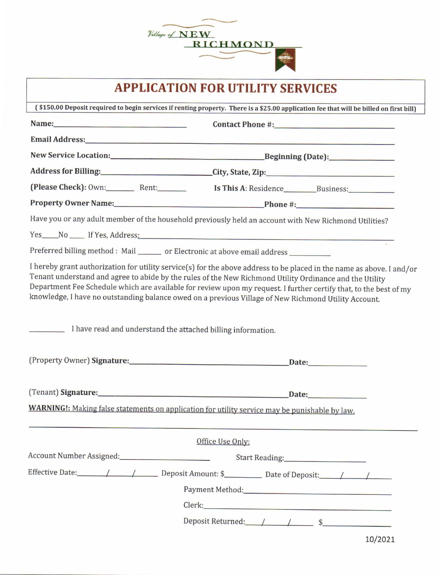

# APPLICATION FOR UTILITY SERVICES

| (\$150.00 Deposit required to begin services if renting property. There is a \$25.00 application fee that will be billed on first bill)                                                                                                                                                                                                 |                                                                                                                                                                                                                                            |  |  |  |
|-----------------------------------------------------------------------------------------------------------------------------------------------------------------------------------------------------------------------------------------------------------------------------------------------------------------------------------------|--------------------------------------------------------------------------------------------------------------------------------------------------------------------------------------------------------------------------------------------|--|--|--|
|                                                                                                                                                                                                                                                                                                                                         |                                                                                                                                                                                                                                            |  |  |  |
|                                                                                                                                                                                                                                                                                                                                         |                                                                                                                                                                                                                                            |  |  |  |
|                                                                                                                                                                                                                                                                                                                                         | New Service Location: Beginning (Date):                                                                                                                                                                                                    |  |  |  |
| Address for Billing: City, State, Zip:                                                                                                                                                                                                                                                                                                  |                                                                                                                                                                                                                                            |  |  |  |
| (Please Check): 0wn: Rent: Rent: Is This A: Residence Business:                                                                                                                                                                                                                                                                         |                                                                                                                                                                                                                                            |  |  |  |
|                                                                                                                                                                                                                                                                                                                                         |                                                                                                                                                                                                                                            |  |  |  |
| Have you or any adult member of the household previously held an account with New Richmond Utilities?                                                                                                                                                                                                                                   |                                                                                                                                                                                                                                            |  |  |  |
|                                                                                                                                                                                                                                                                                                                                         |                                                                                                                                                                                                                                            |  |  |  |
| Preferred billing method : Mail ______ or Electronic at above email address _________                                                                                                                                                                                                                                                   |                                                                                                                                                                                                                                            |  |  |  |
| Tenant understand and agree to abide by the rules of the New Richmond Utility Ordinance and the Utility<br>knowledge, I have no outstanding balance owed on a previous Village of New Richmond Utility Account.                                                                                                                         | I hereby grant authorization for utility service(s) for the above address to be placed in the name as above. I and/or<br>Department Fee Schedule which are available for review upon my request. I further certify that, to the best of my |  |  |  |
| I have read and understand the attached billing information.                                                                                                                                                                                                                                                                            |                                                                                                                                                                                                                                            |  |  |  |
|                                                                                                                                                                                                                                                                                                                                         |                                                                                                                                                                                                                                            |  |  |  |
| (Tenant) Signature: Manual Communication of the Communication of the Communication of the Communication of the Communication of the Communication of the Communication of the Communication of the Communication of the Commun<br><b>WARNING!:</b> Making false statements on application for utility service may be punishable by law. |                                                                                                                                                                                                                                            |  |  |  |
|                                                                                                                                                                                                                                                                                                                                         | Office Use Only:                                                                                                                                                                                                                           |  |  |  |
|                                                                                                                                                                                                                                                                                                                                         |                                                                                                                                                                                                                                            |  |  |  |
|                                                                                                                                                                                                                                                                                                                                         |                                                                                                                                                                                                                                            |  |  |  |
|                                                                                                                                                                                                                                                                                                                                         |                                                                                                                                                                                                                                            |  |  |  |
|                                                                                                                                                                                                                                                                                                                                         |                                                                                                                                                                                                                                            |  |  |  |
|                                                                                                                                                                                                                                                                                                                                         | Deposit Returned: / / / \$                                                                                                                                                                                                                 |  |  |  |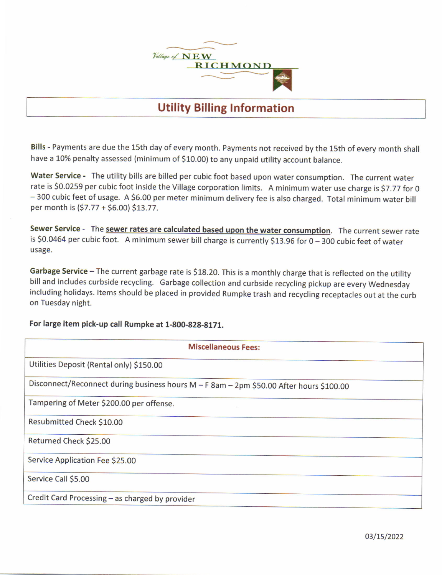

## Utility Billing Information

Bills - Payments are due the 15th day of every month. Payments not received by the 15th of every month shall have a 10% penalty assessed (minimum of \$10.00) to any unpaid utility account balance.

Water Service - The utility bills are billed per cubic foot based upon water consumption. The current water rate is 50.0259 per cubic foot inside the Village corporation limits. A minimum water use charge is 57.77 for 0 - 300 cubic feet of usage. A \$6.00 per meter minimum delivery fee is also charged. Total minimum water bill per month is  $(57.77 + 56.00)$  \$13.77.

Sewer Service - The sewer rates are calculated based upon the water consumption. The current sewer rate is \$0.0464 per cubic foot. A minimum sewer bill charge is currently \$13.96 for 0 - 300 cubic feet of water usage.

Garbage Service - The current garbage rate is \$18.20. This is a monthly charge that is reflected on the utility bill and includes curbside recycling. Garbage collection and curbside recycling pickup are every Wednesday including holidays. ltems should be placed in provided Rumpke trash and recycling receptacles out at the curb on Tuesday night.

#### For large item pick-up call Rumpke at 1-800-828-8171.

| <b>Miscellaneous Fees:</b>                                                              |  |  |  |  |
|-----------------------------------------------------------------------------------------|--|--|--|--|
| Utilities Deposit (Rental only) \$150.00                                                |  |  |  |  |
| Disconnect/Reconnect during business hours M - F 8am - 2pm \$50.00 After hours \$100.00 |  |  |  |  |
| Tampering of Meter \$200.00 per offense.                                                |  |  |  |  |
| Resubmitted Check \$10.00                                                               |  |  |  |  |
| Returned Check \$25.00                                                                  |  |  |  |  |
| Service Application Fee \$25.00                                                         |  |  |  |  |
| Service Call \$5.00                                                                     |  |  |  |  |
| Credit Card Processing - as charged by provider                                         |  |  |  |  |